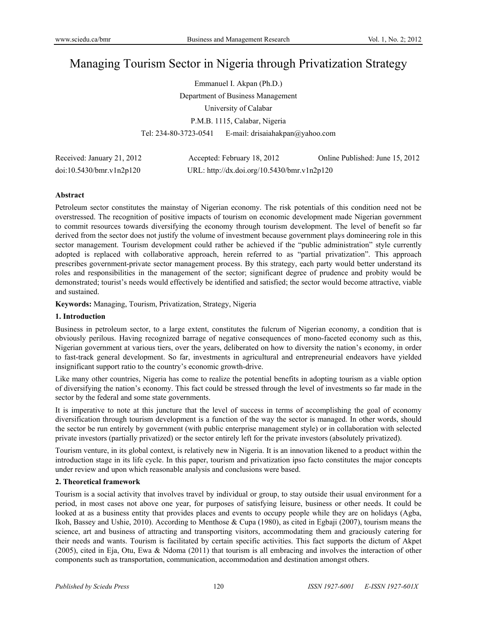# Managing Tourism Sector in Nigeria through Privatization Strategy

Emmanuel I. Akpan (Ph.D.) Department of Business Management University of Calabar P.M.B. 1115, Calabar, Nigeria Tel: 234-80-3723-0541 E-mail: drisaiahakpan@yahoo.com

| Received: January 21, 2012 | Accepted: February 18, 2012                 | Online Published: June 15, 2012 |
|----------------------------|---------------------------------------------|---------------------------------|
| doi:10.5430/bmr.v1n2p120   | URL: http://dx.doi.org/10.5430/bmr.v1n2p120 |                                 |

# **Abstract**

Petroleum sector constitutes the mainstay of Nigerian economy. The risk potentials of this condition need not be overstressed. The recognition of positive impacts of tourism on economic development made Nigerian government to commit resources towards diversifying the economy through tourism development. The level of benefit so far derived from the sector does not justify the volume of investment because government plays domineering role in this sector management. Tourism development could rather be achieved if the "public administration" style currently adopted is replaced with collaborative approach, herein referred to as "partial privatization". This approach prescribes government-private sector management process. By this strategy, each party would better understand its roles and responsibilities in the management of the sector; significant degree of prudence and probity would be demonstrated; tourist's needs would effectively be identified and satisfied; the sector would become attractive, viable and sustained.

**Keywords:** Managing, Tourism, Privatization, Strategy, Nigeria

# **1. Introduction**

Business in petroleum sector, to a large extent, constitutes the fulcrum of Nigerian economy, a condition that is obviously perilous. Having recognized barrage of negative consequences of mono-faceted economy such as this, Nigerian government at various tiers, over the years, deliberated on how to diversity the nation's economy, in order to fast-track general development. So far, investments in agricultural and entrepreneurial endeavors have yielded insignificant support ratio to the country's economic growth-drive.

Like many other countries, Nigeria has come to realize the potential benefits in adopting tourism as a viable option of diversifying the nation's economy. This fact could be stressed through the level of investments so far made in the sector by the federal and some state governments.

It is imperative to note at this juncture that the level of success in terms of accomplishing the goal of economy diversification through tourism development is a function of the way the sector is managed. In other words, should the sector be run entirely by government (with public enterprise management style) or in collaboration with selected private investors (partially privatized) or the sector entirely left for the private investors (absolutely privatized).

Tourism venture, in its global context, is relatively new in Nigeria. It is an innovation likened to a product within the introduction stage in its life cycle. In this paper, tourism and privatization ipso facto constitutes the major concepts under review and upon which reasonable analysis and conclusions were based.

# **2. Theoretical framework**

Tourism is a social activity that involves travel by individual or group, to stay outside their usual environment for a period, in most cases not above one year, for purposes of satisfying leisure, business or other needs. It could be looked at as a business entity that provides places and events to occupy people while they are on holidays (Agba, Ikoh, Bassey and Ushie, 2010). According to Menthose & Cupa (1980), as cited in Egbaji (2007), tourism means the science, art and business of attracting and transporting visitors, accommodating them and graciously catering for their needs and wants. Tourism is facilitated by certain specific activities. This fact supports the dictum of Akpet (2005), cited in Eja, Otu, Ewa & Ndoma (2011) that tourism is all embracing and involves the interaction of other components such as transportation, communication, accommodation and destination amongst others.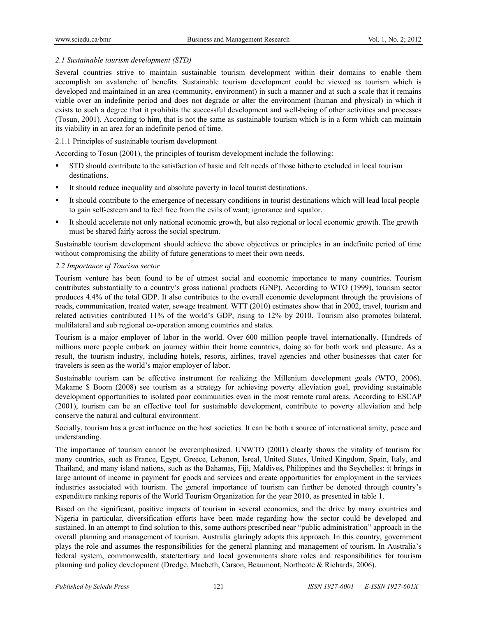# *2.1 Sustainable tourism development (STD)*

Several countries strive to maintain sustainable tourism development within their domains to enable them accomplish an avalanche of benefits. Sustainable tourism development could be viewed as tourism which is developed and maintained in an area (community, environment) in such a manner and at such a scale that it remains viable over an indefinite period and does not degrade or alter the environment (human and physical) in which it exists to such a degree that it prohibits the successful development and well-being of other activities and processes (Tosun, 2001). According to him, that is not the same as sustainable tourism which is in a form which can maintain its viability in an area for an indefinite period of time.

2.1.1 Principles of sustainable tourism development

According to Tosun (2001), the principles of tourism development include the following:

- STD should contribute to the satisfaction of basic and felt needs of those hitherto excluded in local tourism destinations.
- It should reduce inequality and absolute poverty in local tourist destinations.
- It should contribute to the emergence of necessary conditions in tourist destinations which will lead local people to gain self-esteem and to feel free from the evils of want; ignorance and squalor.
- It should accelerate not only national economic growth, but also regional or local economic growth. The growth must be shared fairly across the social spectrum.

Sustainable tourism development should achieve the above objectives or principles in an indefinite period of time without compromising the ability of future generations to meet their own needs.

#### *2.2 Importance of Tourism sector*

Tourism venture has been found to be of utmost social and economic importance to many countries. Tourism contributes substantially to a country's gross national products (GNP). According to WTO (1999), tourism sector produces 4.4% of the total GDP. It also contributes to the overall economic development through the provisions of roads, communication, treated water, sewage treatment. WTT (2010) estimates show that in 2002, travel, tourism and related activities contributed 11% of the world's GDP, rising to 12% by 2010. Tourism also promotes bilateral, multilateral and sub regional co-operation among countries and states.

Tourism is a major employer of labor in the world. Over 600 million people travel internationally. Hundreds of millions more people embark on journey within their home countries, doing so for both work and pleasure. As a result, the tourism industry, including hotels, resorts, airlines, travel agencies and other businesses that cater for travelers is seen as the world's major employer of labor.

Sustainable tourism can be effective instrument for realizing the Millenium development goals (WTO, 2006). Makame \$ Boom (2008) see tourism as a strategy for achieving poverty alleviation goal, providing sustainable development opportunities to isolated poor communities even in the most remote rural areas. According to ESCAP (2001), tourism can be an effective tool for sustainable development, contribute to poverty alleviation and help conserve the natural and cultural environment.

Socially, tourism has a great influence on the host societies. It can be both a source of international amity, peace and understanding.

The importance of tourism cannot be overemphasized. UNWTO (2001) clearly shows the vitality of tourism for many countries, such as France, Egypt, Greece, Lebanon, Isreal, United States, United Kingdom, Spain, Italy, and Thailand, and many island nations, such as the Bahamas, Fiji, Maldives, Philippines and the Seychelles: it brings in large amount of income in payment for goods and services and create opportunities for employment in the services industries associated with tourism. The general importance of tourism can further be denoted through country's expenditure ranking reports of the World Tourism Organization for the year 2010, as presented in table 1.

Based on the significant, positive impacts of tourism in several economies, and the drive by many countries and Nigeria in particular, diversification efforts have been made regarding how the sector could be developed and sustained. In an attempt to find solution to this, some authors prescribed near "public administration" approach in the overall planning and management of tourism. Australia glaringly adopts this approach. In this country, government plays the role and assumes the responsibilities for the general planning and management of tourism. In Australia's federal system, commonwealth, state/tertiary and local governments share roles and responsibilities for tourism planning and policy development (Dredge, Macbeth, Carson, Beaumont, Northcote & Richards, 2006).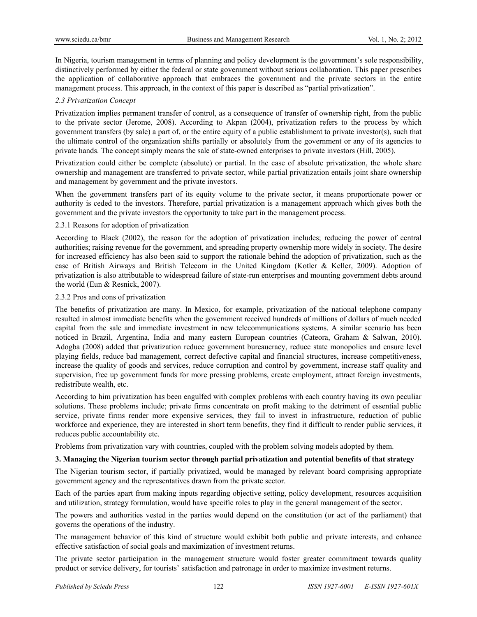In Nigeria, tourism management in terms of planning and policy development is the government's sole responsibility, distinctively performed by either the federal or state government without serious collaboration. This paper prescribes the application of collaborative approach that embraces the government and the private sectors in the entire management process. This approach, in the context of this paper is described as "partial privatization".

### *2.3 Privatization Concept*

Privatization implies permanent transfer of control, as a consequence of transfer of ownership right, from the public to the private sector (Jerome, 2008). According to Akpan (2004), privatization refers to the process by which government transfers (by sale) a part of, or the entire equity of a public establishment to private investor(s), such that the ultimate control of the organization shifts partially or absolutely from the government or any of its agencies to private hands. The concept simply means the sale of state-owned enterprises to private investors (Hill, 2005).

Privatization could either be complete (absolute) or partial. In the case of absolute privatization, the whole share ownership and management are transferred to private sector, while partial privatization entails joint share ownership and management by government and the private investors.

When the government transfers part of its equity volume to the private sector, it means proportionate power or authority is ceded to the investors. Therefore, partial privatization is a management approach which gives both the government and the private investors the opportunity to take part in the management process.

### 2.3.1 Reasons for adoption of privatization

According to Black (2002), the reason for the adoption of privatization includes; reducing the power of central authorities; raising revenue for the government, and spreading property ownership more widely in society. The desire for increased efficiency has also been said to support the rationale behind the adoption of privatization, such as the case of British Airways and British Telecom in the United Kingdom (Kotler & Keller, 2009). Adoption of privatization is also attributable to widespread failure of state-run enterprises and mounting government debts around the world (Eun & Resnick, 2007).

#### 2.3.2 Pros and cons of privatization

The benefits of privatization are many. In Mexico, for example, privatization of the national telephone company resulted in almost immediate benefits when the government received hundreds of millions of dollars of much needed capital from the sale and immediate investment in new telecommunications systems. A similar scenario has been noticed in Brazil, Argentina, India and many eastern European countries (Cateora, Graham & Salwan, 2010). Adogba (2008) added that privatization reduce government bureaucracy, reduce state monopolies and ensure level playing fields, reduce bad management, correct defective capital and financial structures, increase competitiveness, increase the quality of goods and services, reduce corruption and control by government, increase staff quality and supervision, free up government funds for more pressing problems, create employment, attract foreign investments, redistribute wealth, etc.

According to him privatization has been engulfed with complex problems with each country having its own peculiar solutions. These problems include; private firms concentrate on profit making to the detriment of essential public service, private firms render more expensive services, they fail to invest in infrastructure, reduction of public workforce and experience, they are interested in short term benefits, they find it difficult to render public services, it reduces public accountability etc.

Problems from privatization vary with countries, coupled with the problem solving models adopted by them.

# **3. Managing the Nigerian tourism sector through partial privatization and potential benefits of that strategy**

The Nigerian tourism sector, if partially privatized, would be managed by relevant board comprising appropriate government agency and the representatives drawn from the private sector.

Each of the parties apart from making inputs regarding objective setting, policy development, resources acquisition and utilization, strategy formulation, would have specific roles to play in the general management of the sector.

The powers and authorities vested in the parties would depend on the constitution (or act of the parliament) that governs the operations of the industry.

The management behavior of this kind of structure would exhibit both public and private interests, and enhance effective satisfaction of social goals and maximization of investment returns.

The private sector participation in the management structure would foster greater commitment towards quality product or service delivery, for tourists' satisfaction and patronage in order to maximize investment returns.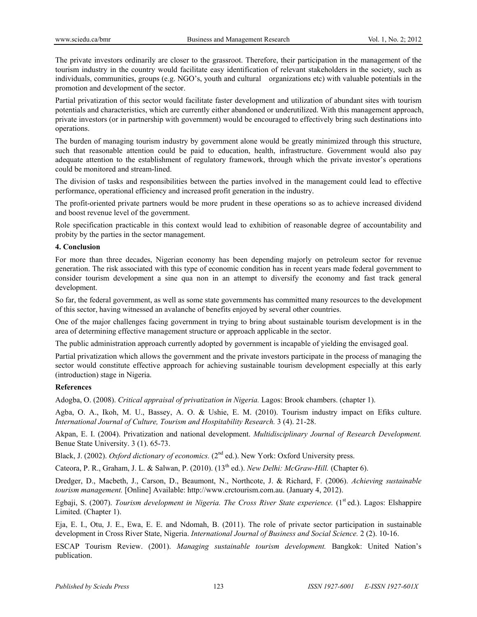The private investors ordinarily are closer to the grassroot. Therefore, their participation in the management of the tourism industry in the country would facilitate easy identification of relevant stakeholders in the society, such as individuals, communities, groups (e.g. NGO's, youth and cultural organizations etc) with valuable potentials in the promotion and development of the sector.

Partial privatization of this sector would facilitate faster development and utilization of abundant sites with tourism potentials and characteristics, which are currently either abandoned or underutilized. With this management approach, private investors (or in partnership with government) would be encouraged to effectively bring such destinations into operations.

The burden of managing tourism industry by government alone would be greatly minimized through this structure, such that reasonable attention could be paid to education, health, infrastructure. Government would also pay adequate attention to the establishment of regulatory framework, through which the private investor's operations could be monitored and stream-lined.

The division of tasks and responsibilities between the parties involved in the management could lead to effective performance, operational efficiency and increased profit generation in the industry.

The profit-oriented private partners would be more prudent in these operations so as to achieve increased dividend and boost revenue level of the government.

Role specification practicable in this context would lead to exhibition of reasonable degree of accountability and probity by the parties in the sector management.

#### **4. Conclusion**

For more than three decades, Nigerian economy has been depending majorly on petroleum sector for revenue generation. The risk associated with this type of economic condition has in recent years made federal government to consider tourism development a sine qua non in an attempt to diversify the economy and fast track general development.

So far, the federal government, as well as some state governments has committed many resources to the development of this sector, having witnessed an avalanche of benefits enjoyed by several other countries.

One of the major challenges facing government in trying to bring about sustainable tourism development is in the area of determining effective management structure or approach applicable in the sector.

The public administration approach currently adopted by government is incapable of yielding the envisaged goal.

Partial privatization which allows the government and the private investors participate in the process of managing the sector would constitute effective approach for achieving sustainable tourism development especially at this early (introduction) stage in Nigeria.

#### **References**

Adogba, O. (2008). *Critical appraisal of privatization in Nigeria.* Lagos: Brook chambers. (chapter 1).

Agba, O. A., Ikoh, M. U., Bassey, A. O. & Ushie, E. M. (2010). Tourism industry impact on Efiks culture. *International Journal of Culture, Tourism and Hospitability Research.* 3 (4). 21-28.

Akpan, E. I. (2004). Privatization and national development. *Multidisciplinary Journal of Research Development.*  Benue State University. 3 (1). 65-73.

Black, J. (2002). *Oxford dictionary of economics*. (2<sup>nd</sup> ed.). New York: Oxford University press.

Cateora, P. R., Graham, J. L. & Salwan, P. (2010). (13<sup>th</sup> ed.). *New Delhi: McGraw-Hill.* (Chapter 6).

Dredger, D., Macbeth, J., Carson, D., Beaumont, N., Northcote, J. & Richard, F. (2006). *Achieving sustainable tourism management.* [Online] Available: http://www.crctourism.com.au. (January 4, 2012).

Egbaji, S. (2007). *Tourism development in Nigeria. The Cross River State experience.* (1<sup>st</sup> ed.). Lagos: Elshappire Limited. (Chapter 1).

Eja, E. I., Otu, J. E., Ewa, E. E. and Ndomah, B. (2011). The role of private sector participation in sustainable development in Cross River State, Nigeria. *International Journal of Business and Social Science.* 2 (2). 10-16.

ESCAP Tourism Review. (2001). *Managing sustainable tourism development.* Bangkok: United Nation's publication.